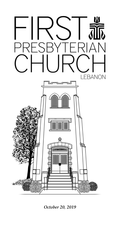

*October 20, 2019*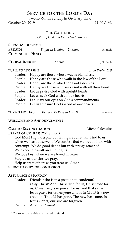# Service for the Lord's Day

Twenty-Ninth Sunday in Ordinary Time

October 20, 2019 11:00 A.M.

## The Gathering

*To Glorify God and Enjoy God Forever*

SILENT MEDITATION Prelude *Fugue in D minor (Dorian)* J.S. Bach Chiming the Hour

Choral Introit *Alleluia* J.S. Bach

## \*Call to Worship *from Psalm 119*

| 10 N ONDINI | 1101111011111111110                                        |
|-------------|------------------------------------------------------------|
|             | Leader: Happy are those whose way is blameless.            |
|             | People: Happy are those who walk in the law of the Lord.   |
|             | Leader: Happy are those who keep God's decrees.            |
|             | People: Happy are those who seek God with all their heart. |
|             | Leader: Let us praise God with upright hearts.             |
|             | People: Let us seek God with all our hearts.               |
|             | Leader: Let us fix our eyes on God's commandments.         |
|             | People: Let us treasure God's word in our hearts.          |
|             |                                                            |

**\*HYMN NO. 145** *Rejoice, Ye Pure in Heart!* MARION

## Welcome and Announcements

## CALL TO RECONCILIATION Michael Schulte

PRAYER OF CONFESSION (unison)

God Most High, despite our failings, you remain kind to us when we least deserve it. We confess that we treat others with contempt. We do good deeds but with strings attached. We expect a payoff on all our gifts. We love best when we are loved in return. Forgive us our sins we pray.

Help us treat others as you treat us. Amen.

## Silent Prayers of Confession

## Assurance of Pardon

Leader: Friends, who is in a position to condemn? Only Christ! And Christ died for us, Christ rose for us, Christ reigns in power for us, and that same Jesus prays for us. Anyone who is in Christ is a new creation. The old has gone. The new has come. In Jesus Christ, our sins are forgiven.

## People: Alleluia! Amen!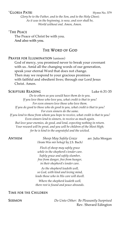#### \*GLORIA PATRI Hymn No. 579

*Glory be to the Father, and to the Son, and to the Holy Ghost; As it was in the beginning, is now, and ever shall be, World without end. Amen, Amen.*

#### \*The Peace

The Peace of Christ be with you. And also with you.

### The Word of God

### PRAYER FOR ILLUMINATION (unison)

God of mercy, you promised never to break your covenant with us. Amid all the changing words of our generation, speak your eternal Word that does not change. Then may we respond to your gracious promises with faithful and obedient lives; through our Lord Jesus Christ. Amen.

#### SCRIPTURE READING Luke 6:31-35

*Do to others as you would have them do to you. If you love those who love you, what credit is that to you? For even sinners love those who love them. If you do good to those who do good to you, what credit is that to you? For even sinners do the same. If you lend to those from whom you hope to receive, what credit is that to you? Even sinners lend to sinners, to receive as much again. But love your enemies, do good, and lend, expecting nothing in return. Your reward will be great, and you will be children of the Most High; for he is kind to the ungrateful and the wicked.*

Anthem *Sheep May Safely Graze* arr. Julia Morgan *(*from *Was mir behagt* by J.S. Bach*)*

*Flock of sheep may safely graze while in the shepherd's tender care. Safely graze and safely slumber, free from danger, free from hunger, in their shepherd's tender care.*

*As the shepherd leadeth well, so God, with kind and loving mind, leads those who in His care will dwell.*

*Where the shepherd leadeth well, there rest is found and peace abounds.*

### Time for the Children

Sermon *Do Unto Other: Be Pleasantly Surprised* Rev. Sherard Edington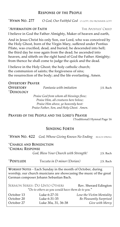## Response of the People

\*Hymn No. 277 *O God, Our Faithful God* o gott, du frommer gott

## \*Affirmation of Faith The Apostles' Creed

I believe in God the Father Almighty, Maker of heaven and earth,

And in Jesus Christ his only Son, our Lord, who was conceived by the Holy Ghost, born of the Virgin Mary, suffered under Pontius Pilate, was crucified, dead, and buried; he descended into hell; the third day he rose again from the dead; he ascended into heaven, and sitteth on the right hand of God the Father Almighty; from thence he shall come to judge the quick and the dead.

I believe in the Holy Ghost; the holy catholic church; the communion of saints; the forgiveness of sins; the resurrection of the body; and the life everlasting. Amen.

| <b>OFFERTORY PRAYER</b>                                                           |                                           |           |  |  |
|-----------------------------------------------------------------------------------|-------------------------------------------|-----------|--|--|
| <b>OFFERTORY</b>                                                                  | Fantasia with imitation                   | J.S. Bach |  |  |
| *DOXOLOGY                                                                         |                                           |           |  |  |
| Praise God from whom all blessings flow;<br>Praise Him, all creatures here below; |                                           |           |  |  |
|                                                                                   |                                           |           |  |  |
|                                                                                   | Praise Father, Son, and Holy Ghost. Amen. |           |  |  |
|                                                                                   |                                           |           |  |  |

Prayers of the People and the Lord's Prayer (Traditional) Hymnal Page 16

## Sending Forth

\*Hymn No. 422 *God, Whose Giving Knows No Ending* beach spring

\*Charge and Benediction \*Choral Response

*God, Bless Your Church with Strength!* J.S. Bach

| <i><b>*POSTLUDE</b></i> | Toccata in D minor (Dorian) | J.S. Bach |
|-------------------------|-----------------------------|-----------|
|-------------------------|-----------------------------|-----------|

WORSHIP NOTES – Each Sunday in the month of October, during worship, our church musicians are showcasing the music of the great German composer Johann Sebastian Bach.

|                                                  | SERMON SERIES: DO UNTO OTHERS | Rev. Sherard Edington          |  |  |  |
|--------------------------------------------------|-------------------------------|--------------------------------|--|--|--|
| "Do to others as you would have them do to you." |                               |                                |  |  |  |
| October 13                                       | Luke 6:27-31                  | Lose the Victim Mentality      |  |  |  |
| October 20                                       | Luke 6:31-35                  | <b>Be Pleasantly Surprised</b> |  |  |  |
| October 27                                       | Luke 30a, 31, 36-38           | Give with Mercy                |  |  |  |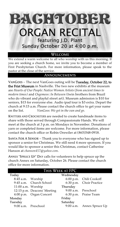

## Welcome

We extend a warm welcome to all who worship with us this morning. If you are seeking a church home, we invite you to become a member of First Presbyterian Church. For more information, please speak to the pastor at the close of the service.

## Announcements

VanGoes − The next VanGoes outing will be Tuesday, October 22, to the Frist Museum in Nashville. The two new exhibits at the museum are *Hearts of Our People: Native Women Artists (from ancient times to modern times)* and *Osgemeos*: *In Between* (twin brothers from Brazil who do vibrant and playful street art). Museum admission is \$10 for seniors, \$15 for everyone else. Audio ipad tour is \$3 extra. Depart the church at 9:15 a.m. Please contact the church office to get your name on the list. *VanGoes: We get in the van and go.* 

KNITTERS AND CROCHETERS are needed to create handmade items to share with those served through Compassionate Hands. We will meet at the church at 3 p.m. on Mondays in November. Donations of yarn or completed items are welcome. For more information, please contact the church office or Robin Orewiler at (865)548-0918.

Santa For A Senior − Thank you to everyone who has signed up to sponsor a senior for Christmas. We still need 4 more sponsors. If you would like to sponsor a senior this Christmas, contact Catherine Hanson at *chanson457@yahoo.com*.

ANNEX "SPRUCE UP" DAY calls for volunteers to help spruce up the church Annex on Saturday, October 26. Please contact the church office for more information.

| THIS WEEK AT FPC     |                             |           |                           |  |  |  |  |
|----------------------|-----------------------------|-----------|---------------------------|--|--|--|--|
| Today                |                             | Wednesday |                           |  |  |  |  |
| 8:45 a.m. Worship    |                             |           | 6:00 p.m. Chili Cookoff   |  |  |  |  |
|                      | 9:45 a.m. Church School     |           | 6:30 p.m. Choir Practice  |  |  |  |  |
| $11:00$ a.m. Worship |                             | Thursday  |                           |  |  |  |  |
|                      | 12:15 p.m. Deacons' Meeting |           | 9:00 a.m. Preschool       |  |  |  |  |
|                      | 4:00 p.m. Organ Concert     |           | 6:30 p.m. Praise Team     |  |  |  |  |
| Monday               |                             | Friday    |                           |  |  |  |  |
| Tuesday              |                             | Saturday  |                           |  |  |  |  |
| 9:00 a.m. Preschool  |                             |           | 9:00 a.m. Annex Spruce Up |  |  |  |  |